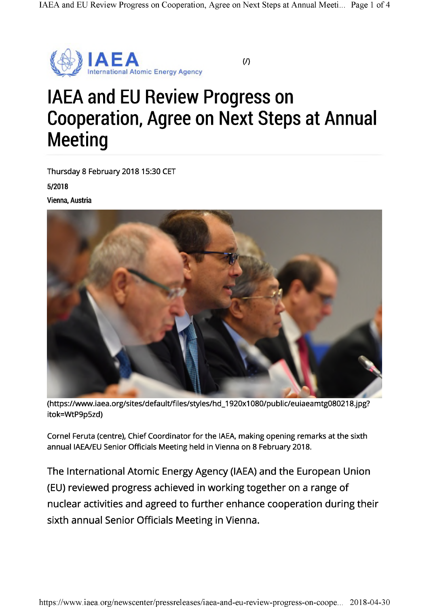

### (/)

# IAEA and EU Review Progress on Cooperation, Agree on Next Steps at Annual **Meeting**

Thursday 8 February 2018 15:30 CET

5/2018

Vienna, Austria



([https://www.iaea.org/sites/default/files/styles/hd\\_1920x1](https://www.iaea.org/sites/default/files/styles/hd_1920x1080/public/euiaeamtg080218.jpg)080/public/euiaeamtg080218.jpg? itok=WtP9p5zd)

Cornel Feruta (centre), Chief Coordinator for the IAEA, making opening remarks at the sixth annual IAEA/EU Senior Officials Meeting held in Vienna on 8 February 2018.

The International Atomic Energy Agency (IAEA) and the European Union (EU) reviewed progress achieved in working together on a range of nuclear activities and agreed to further enhance cooperation during their sixth annual Senior Officials Meeting in Vienna.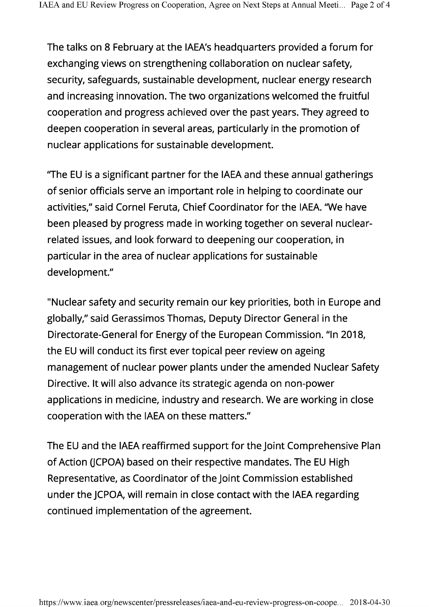The talks on 8 February at the IAEA's headquarters provided a forum for exchanging views on strengthening collaboration on nuclear safety, security, safeguards, sustainable development, nuclear energy research and increasing innovation. The two organizations welcomed the fruitful cooperation and progress achieved over the past years. They agreed to deepen cooperation in several areas, particularly in the promotion of nuclear applications for sustainable development.

"The EU is a significant partner for the IAEA and these annual gatherings of senior officials serve an important role in helping to coordinate our activities," said Cornel Feruta, Chief Coordinator for the IAEA. "We have been pleased by progress made in working together on several nuclearrelated issues, and look forward to deepening our cooperation, in particular in the area of nuclear applications for sustainable development."

"Nuclear safety and security remain our key priorities, both in Europe and globally," said Gerassimos Thomas, Deputy Director General in the Directorate-General for Energy of the European Commission. "In 2018, the EU will conduct its first ever topical peer review on ageing management of nuclear power plants under the amended Nuclear Safety Directive. It will also advance its strategic agenda on non-power applications in medicine, industry and research. We are working in close cooperation with the IAEA on these matters."

The EU and the IAEA reaffirmed support for the Joint Comprehensive Plan of Action GCPOA) based on their respective mandates. The EU High Representative, as Coordinator of the Joint Commission established under the JCPOA, will remain inclose contact with the IAEA regarding continued implementation of the agreement.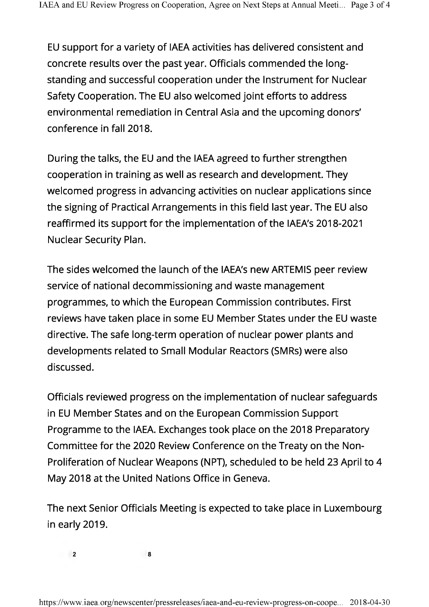EU support for a variety of IAEA activities has delivered consistent and concrete results over the past year. Officials commended the longstanding and successful cooperation under the Instrument for Nuclear Safety Cooperation. The EU also welcomed joint efforts to address environmental remediation in Central Asia and the upcoming donors' conference in fall 2018.

During the talks, the EU and the IAEA agreed to further strengthen cooperation in training as well as research and development. They welcomed progress in advancing activities on nuclear applications since the signing of Practical Arrangements in this field last year. The EU also reaffirmed its support for the implementation of the IAEA's 2018-2021 Nuclear Security Plan.

The sides welcomed the launch of the IAEA's new ARTEMIS peer review service of national decommissioning and waste management programmes, to which the European Commission contributes. First reviews have taken place in some EU Member States under the EU waste directive. The safe long-term operation of nuclear power plants and developments related to Small Modular Reactors (SMRs) were also discussed.

Officials reviewed progress on the implementation of nuclear safeguards in EU Member States and on the European Commission Support Programme to the IAEA. Exchanges took place on the 2018 Preparatory Committee for the 2020 Review Conference on the Treaty on the Non-Proliferation of Nuclear Weapons (NPT), scheduled to be held 23 April to 4 May 2018 at the United Nations Office in Geneva.

The next Senior Officials Meeting is expected to take place in Luxembourg in early 2019.

**2 8**